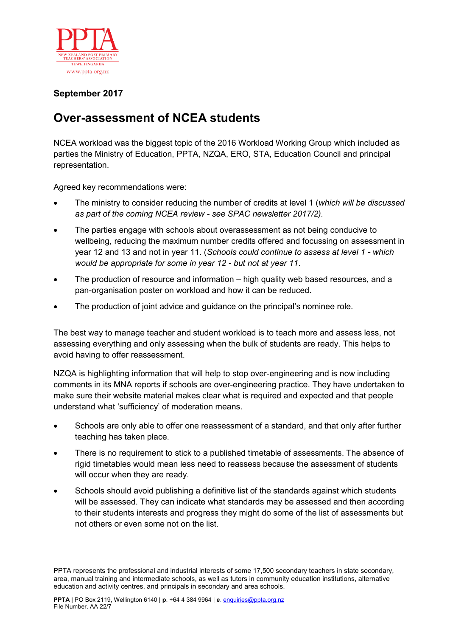

## **September 2017**

## **Over-assessment of NCEA students**

NCEA workload was the biggest topic of the 2016 Workload Working Group which included as parties the Ministry of Education, PPTA, NZQA, ERO, STA, Education Council and principal representation.

Agreed key recommendations were:

- The ministry to consider reducing the number of credits at level 1 (*which will be discussed as part of the coming NCEA review - see SPAC newsletter 2017/2).*
- The parties engage with schools about overassessment as not being conducive to wellbeing, reducing the maximum number credits offered and focussing on assessment in year 12 and 13 and not in year 11. (*Schools could continue to assess at level 1 - which would be appropriate for some in year 12 - but not at year 11*.
- The production of resource and information high quality web based resources, and a pan-organisation poster on workload and how it can be reduced.
- The production of joint advice and guidance on the principal's nominee role.

The best way to manage teacher and student workload is to teach more and assess less, not assessing everything and only assessing when the bulk of students are ready. This helps to avoid having to offer reassessment.

NZQA is highlighting information that will help to stop over-engineering and is now including comments in its MNA reports if schools are over-engineering practice. They have undertaken to make sure their website material makes clear what is required and expected and that people understand what 'sufficiency' of moderation means.

- Schools are only able to offer one reassessment of a standard, and that only after further teaching has taken place.
- There is no requirement to stick to a published timetable of assessments. The absence of rigid timetables would mean less need to reassess because the assessment of students will occur when they are ready.
- Schools should avoid publishing a definitive list of the standards against which students will be assessed. They can indicate what standards may be assessed and then according to their students interests and progress they might do some of the list of assessments but not others or even some not on the list.

PPTA represents the professional and industrial interests of some 17,500 secondary teachers in state secondary, area, manual training and intermediate schools, as well as tutors in community education institutions, alternative education and activity centres, and principals in secondary and area schools.